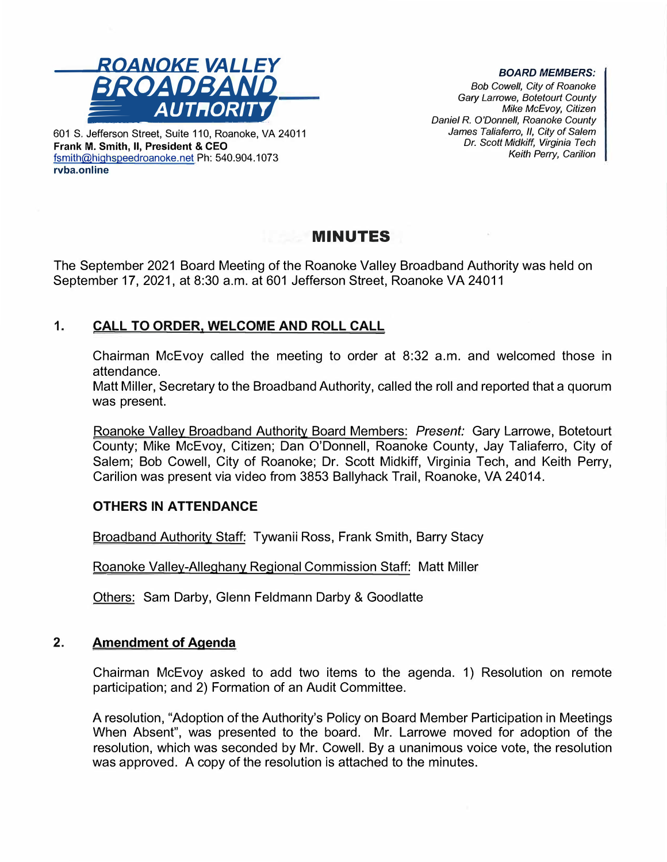

601 S. Jefferson Street, Suite 110, Roanoke, VA 24011 **Frank M. Smith,** II, **President** & **CEO**  fsmith@highspeedroanoke.net Ph: 540.904.1073 **rvba.online** 

*Bob Cowell, City of Roanoke Gary Larrowe, Botetourt County Mike McEvoy, Citizen Daniel R. O'Donnell, Roanoke County James Taliaferro, II, City of Salem Dr. Scott Midkiff, Virginia Tech*  **Keith Perry, Carilion** 

# **MINUTES**

The September 2021 Board Meeting of the Roanoke Valley Broadband Authority was held on September 17, 2021, at 8:30 a.m. at 601 Jefferson Street, Roanoke VA 24011

# **1. CALL TO ORDER, WELCOME AND ROLL CALL**

Chairman McEvoy called the meeting to order at 8:32 a.m. and welcomed those in attendance.

Matt Miller, Secretary to the Broadband Authority, called the roll and reported that a quorum was present.

Roanoke Valley Broadband Authority Board Members: *Present:* Gary Larrowe, Botetourt County; Mike McEvoy, Citizen; Dan O'Donnell, Roanoke County, Jay Taliaferro, City of Salem; Bob Cowell, City of Roanoke; Dr. Scott Midkiff, Virginia Tech, and Keith Perry, Carilion was present via video from 3853 Ballyhack Trail, Roanoke, VA 24014.

## **OTHERS IN ATTENDANCE**

Broadband Authority Staff: Tywanii Ross, Frank Smith, Barry Stacy

Roanoke Valley-Alleghany Regional Commission Staff: Matt Miller

Others: Sam Darby, Glenn Feldmann Darby & Goodlatte

#### **2. Amendment of Agenda**

Chairman McEvoy asked to add two items to the agenda. 1) Resolution on remote participation; and 2) Formation of an Audit Committee.

A resolution, "Adoption of the Authority's Policy on Board Member Participation in Meetings When Absent", was presented to the board. Mr. Larrowe moved for adoption of the resolution, which was seconded by Mr. Cowell. By a unanimous voice vote, the resolution was approved. A copy of the resolution is attached to the minutes.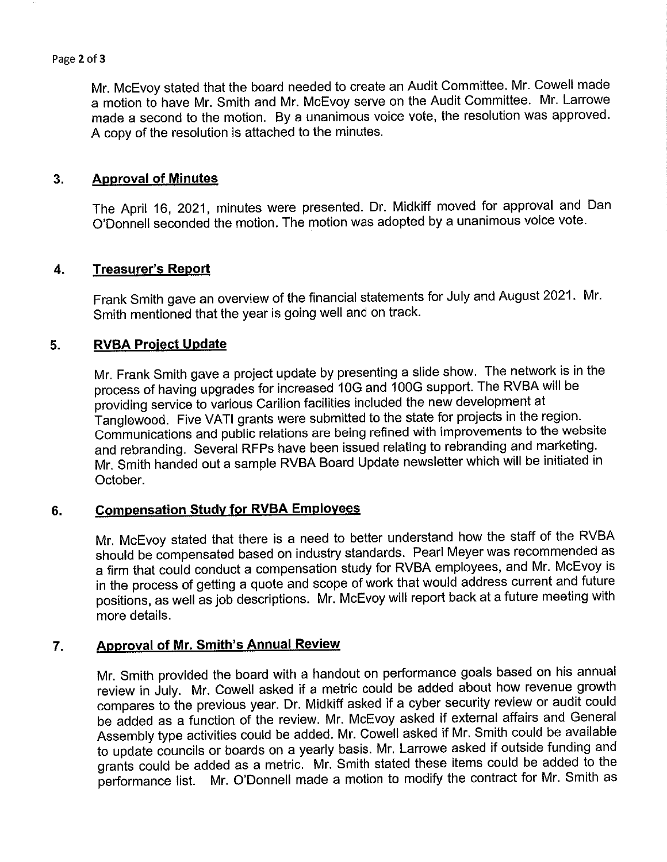### Page 2 of 3

Mr. McEvoy stated that the board needed to create an Audit Committee. Mr. Cowell made a motion to have Mr. Smith and Mr. McEvoy serve on the Audit Committee. Mr. Larrowe made a second to the motion. By a unanimous voice vote, the resolution was approved. A copy of the resolution is attached to the minutes.

#### $3<sub>1</sub>$ **Approval of Minutes**

The April 16, 2021, minutes were presented. Dr. Midkiff moved for approval and Dan O'Donnell seconded the motion. The motion was adopted by a unanimous voice vote.

#### **Treasurer's Report** 4.

Frank Smith gave an overview of the financial statements for July and August 2021. Mr. Smith mentioned that the year is going well and on track.

#### **RVBA Project Update** 5.

Mr. Frank Smith gave a project update by presenting a slide show. The network is in the process of having upgrades for increased 10G and 100G support. The RVBA will be providing service to various Carilion facilities included the new development at Tanglewood. Five VATI grants were submitted to the state for projects in the region. Communications and public relations are being refined with improvements to the website and rebranding. Several RFPs have been issued relating to rebranding and marketing. Mr. Smith handed out a sample RVBA Board Update newsletter which will be initiated in October.

#### **Compensation Study for RVBA Employees** 6.

Mr. McEvoy stated that there is a need to better understand how the staff of the RVBA should be compensated based on industry standards. Pearl Meyer was recommended as a firm that could conduct a compensation study for RVBA employees, and Mr. McEvoy is in the process of getting a quote and scope of work that would address current and future positions, as well as job descriptions. Mr. McEvoy will report back at a future meeting with more details.

#### $\overline{7}$ . **Approval of Mr. Smith's Annual Review**

Mr. Smith provided the board with a handout on performance goals based on his annual review in July. Mr. Cowell asked if a metric could be added about how revenue growth compares to the previous year. Dr. Midkiff asked if a cyber security review or audit could be added as a function of the review. Mr. McEvoy asked if external affairs and General Assembly type activities could be added. Mr. Cowell asked if Mr. Smith could be available to update councils or boards on a yearly basis. Mr. Larrowe asked if outside funding and grants could be added as a metric. Mr. Smith stated these items could be added to the performance list. Mr. O'Donnell made a motion to modify the contract for Mr. Smith as